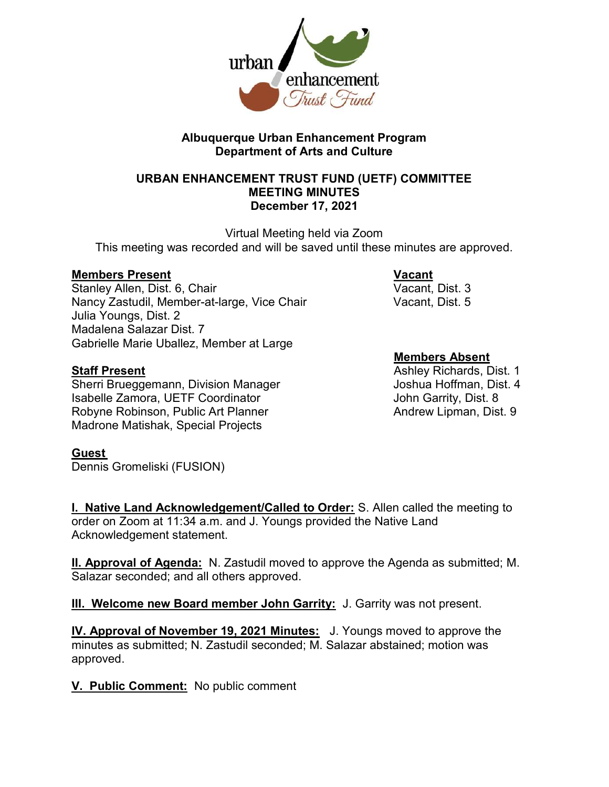

### Albuquerque Urban Enhancement Program Department of Arts and Culture

#### URBAN ENHANCEMENT TRUST FUND (UETF) COMMITTEE MEETING MINUTES December 17, 2021

Virtual Meeting held via Zoom This meeting was recorded and will be saved until these minutes are approved.

Members Present Vacant Stanley Allen, Dist. 6, Chair Nancy Zastudil, Member-at-large, Vice Chair Vacant, Dist. 5 Julia Youngs, Dist. 2 Madalena Salazar Dist. 7 Gabrielle Marie Uballez, Member at Large

Sherri Brueggemann, Division Manager Joshua Hoffman, Dist. 4 Isabelle Zamora, UETF Coordinator **International Contract Contract Contract** John Garrity, Dist. 8 Robyne Robinson, Public Art Planner Andrew Lipman, Dist. 9 Madrone Matishak, Special Projects

#### **Guest**

Dennis Gromeliski (FUSION)

# Members Absent

**Staff Present** Ashley Richards, Dist. 1

**I. Native Land Acknowledgement/Called to Order:** S. Allen called the meeting to order on Zoom at 11:34 a.m. and J. Youngs provided the Native Land Acknowledgement statement.

II. Approval of Agenda: N. Zastudil moved to approve the Agenda as submitted; M. Salazar seconded; and all others approved.

III. Welcome new Board member John Garrity: J. Garrity was not present.

IV. Approval of November 19, 2021 Minutes: J. Youngs moved to approve the minutes as submitted; N. Zastudil seconded; M. Salazar abstained; motion was approved.

V. Public Comment: No public comment